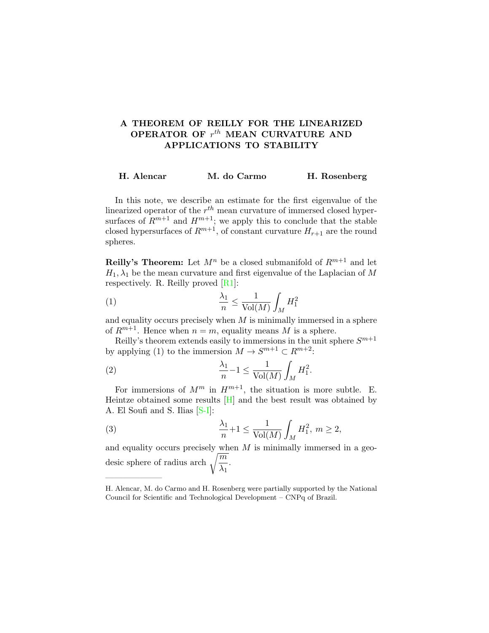# A THEOREM OF REILLY FOR THE LINEARIZED OPERATOR OF  $r^{th}$  MEAN CURVATURE AND APPLICATIONS TO STABILITY

## H. Alencar M. do Carmo H. Rosenberg

In this note, we describe an estimate for the first eigenvalue of the linearized operator of the  $r^{th}$  mean curvature of immersed closed hypersurfaces of  $R^{m+1}$  and  $H^{m+1}$ ; we apply this to conclude that the stable closed hypersurfaces of  $R^{m+1}$ , of constant curvature  $H_{r+1}$  are the round spheres.

**Reilly's Theorem:** Let  $M^n$  be a closed submanifold of  $R^{m+1}$  and let  $H_1, \lambda_1$  be the mean curvature and first eigenvalue of the Laplacian of M respectively. R. Reilly proved [\[R1\]](#page-2-0):

$$
\frac{\lambda_1}{n} \le \frac{1}{\text{Vol}(M)} \int_M H_1^2
$$

and equality occurs precisely when  $M$  is minimally immersed in a sphere of  $R^{m+1}$ . Hence when  $n = m$ , equality means M is a sphere.

Reilly's theorem extends easily to immersions in the unit sphere  $S^{m+1}$ by applying (1) to the immersion  $M \to S^{m+1} \subset R^{m+2}$ :

(2) 
$$
\frac{\lambda_1}{n} - 1 \le \frac{1}{\text{Vol}(M)} \int_M H_1^2.
$$

——————–

For immersions of  $M^m$  in  $H^{m+1}$ , the situation is more subtle. E. Heintze obtained some results  $[H]$  and the best result was obtained by A. El Soufi and S. Ilias [\[S-I\]](#page-2-2):

(3) 
$$
\frac{\lambda_1}{n} + 1 \le \frac{1}{\text{Vol}(M)} \int_M H_1^2, \ m \ge 2,
$$

and equality occurs precisely when  $M$  is minimally immersed in a geodesic sphere of radius arch  $\sqrt{\frac{m}{n}}$  $\frac{\overline{11}}{\lambda_1}$ .

H. Alencar, M. do Carmo and H. Rosenberg were partially supported by the National Council for Scientific and Technological Development – CNPq of Brazil.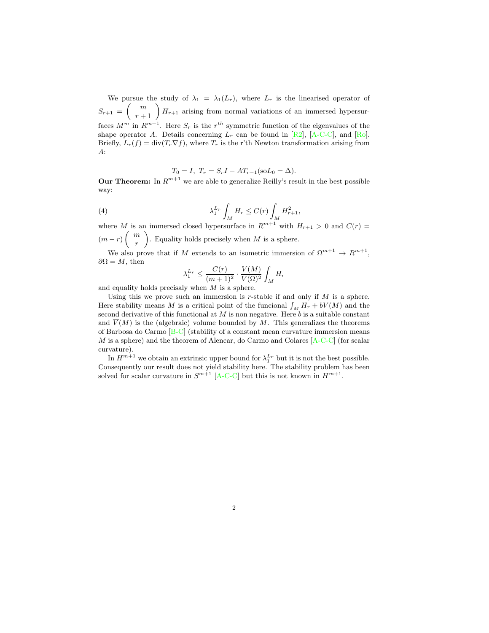We pursue the study of  $\lambda_1 = \lambda_1(L_r)$ , where  $L_r$  is the linearised operator of  $S_{r+1} = \begin{pmatrix} m \\ r+1 \end{pmatrix} H_{r+1}$  arising from normal variations of an immersed hypersurfaces  $M^m$  in  $R^{m+1}$ . Here  $S_r$  is the  $r^{th}$  symmetric function of the eigenvalues of the shape operator A. Details concerning  $\overline{L_r}$  can be found in [\[R2\]](#page-2-3), [\[A-C-C\]](#page-2-4), and [\[Ro\]](#page-2-5). Briefly,  $L_r(f) = \text{div}(T_r \nabla f)$ , where  $T_r$  is the r'th Newton transformation arising from  $A$ :

$$
T_0 = I
$$
,  $T_r = S_r I - A T_{r-1} (\text{so} L_0 = \Delta)$ .

**Our Theorem:** In  $R^{m+1}$  we are able to generalize Reilly's result in the best possible way:

(4) 
$$
\lambda_1^{L_r} \int_M H_r \leq C(r) \int_M H_{r+1}^2,
$$

where M is an immersed closed hypersurface in  $R^{m+1}$  with  $H_{r+1} > 0$  and  $C(r) =$  $(m-r)\binom{m}{r}$ r ). Equality holds precisely when  $M$  is a sphere.

We also prove that if M extends to an isometric immersion of  $\Omega^{m+1} \to R^{m+1}$ ,  $\partial\Omega = M$ , then

$$
\lambda_1^{L_r} \le \frac{C(r)}{(m+1)^2} \cdot \frac{V(M)}{V(\Omega)^2} \int_M H_r
$$

and equality holds precisaly when M is a sphere.

Using this we prove such an immersion is r-stable if and only if  $M$  is a sphere. Here stability means M is a critical point of the funcional  $\int_M H_r + b\overline{V}(M)$  and the second derivative of this functional at M is non negative. Here b is a suitable constant and  $\overline{V}(M)$  is the (algebraic) volume bounded by M. This generalizes the theorems of Barbosa do Carmo [\[B-C\]](#page-2-6) (stability of a constant mean curvature immersion means M is a sphere) and the theorem of Alencar, do Carmo and Colares [\[A-C-C\]](#page-2-4) (for scalar curvature).

In  $H^{m+1}$  we obtain an extrinsic upper bound for  $\lambda_1^{L_r}$  but it is not the best possible. Consequently our result does not yield stability here. The stability problem has been solved for scalar curvature in  $S^{m+1}$  [\[A-C-C\]](#page-2-4) but this is not known in  $H^{m+1}$ .

2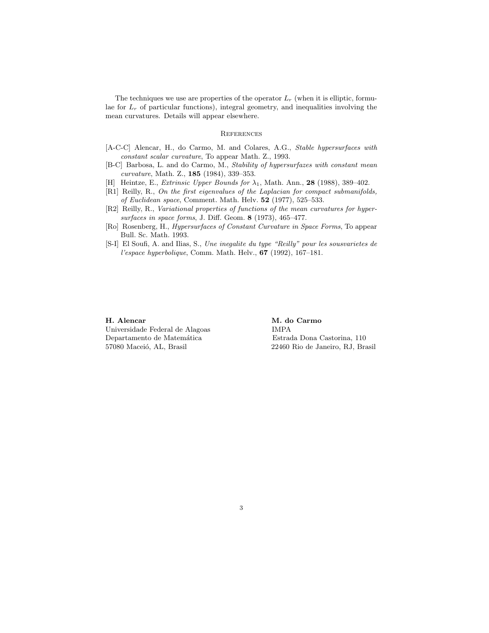The techniques we use are properties of the operator  $L_r$  (when it is elliptic, formulae for  $L_r$  of particular functions), integral geometry, and inequalities involving the mean curvatures. Details will appear elsewhere.

### **REFERENCES**

- <span id="page-2-4"></span>[A-C-C] Alencar, H., do Carmo, M. and Colares, A.G., Stable hypersurfaces with constant scalar curvature, To appear Math. Z., 1993.
- <span id="page-2-6"></span>[B-C] Barbosa, L. and do Carmo, M., Stability of hypersurfazes with constant mean curvature, Math. Z., 185 (1984), 339–353.
- <span id="page-2-1"></span>[H] Heintze, E., Extrinsic Upper Bounds for  $\lambda_1$ , Math. Ann., 28 (1988), 389–402.
- <span id="page-2-0"></span>[R1] Reilly, R., On the first eigenvalues of the Laplacian for compact submanifolds, of Euclidean space, Comment. Math. Helv. 52 (1977), 525–533.
- <span id="page-2-3"></span>[R2] Reilly, R., Variational properties of functions of the mean curvatures for hypersurfaces in space forms, J. Diff. Geom. 8 (1973), 465–477.
- <span id="page-2-5"></span>[Ro] Rosenberg, H., Hypersurfaces of Constant Curvature in Space Forms, To appear Bull. Sc. Math. 1993.
- <span id="page-2-2"></span>[S-I] El Soufi, A. and Ilias, S., Une inegalite du type "Reilly" pour les sousvarietes de l'espace hyperbolique, Comm. Math. Helv., 67 (1992), 167–181.

Universidade Federal de Alagoas IMPA Departamento de Matem´atica Estrada Dona Castorina, 110 57080 Maceió, AL, Brasil 22460 Rio de Janeiro, RJ, Brasil

H. Alencar M. do Carmo